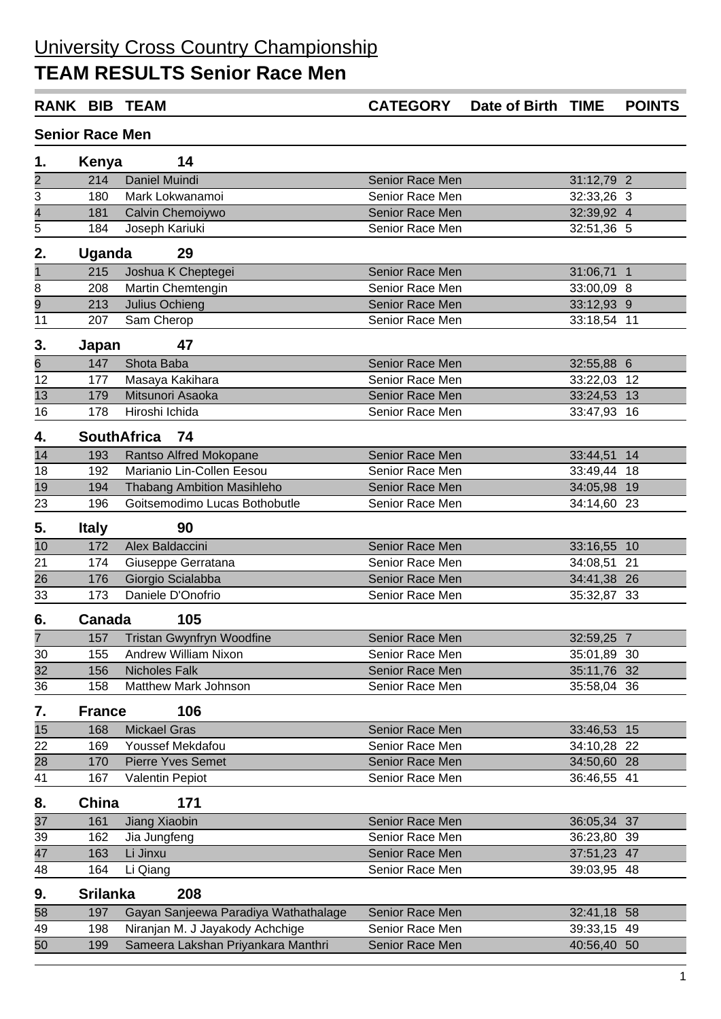## University Cross Country Championship

## **TEAM RESULTS Senior Race Men**

|                        |                 | <b>RANK BIB TEAM</b>                                                    | <b>CATEGORY</b> | Date of Birth TIME |                            | <b>POINTS</b> |  |  |  |  |  |
|------------------------|-----------------|-------------------------------------------------------------------------|-----------------|--------------------|----------------------------|---------------|--|--|--|--|--|
| <b>Senior Race Men</b> |                 |                                                                         |                 |                    |                            |               |  |  |  |  |  |
| 1.                     | Kenya           | 14                                                                      |                 |                    |                            |               |  |  |  |  |  |
|                        | 214             | Daniel Muindi                                                           | Senior Race Men |                    | 31:12,79 2                 |               |  |  |  |  |  |
| $\frac{2}{3}$          | 180             | Mark Lokwanamoi                                                         | Senior Race Men |                    | 32:33,26 3                 |               |  |  |  |  |  |
| $\overline{4}$         | 181             | Calvin Chemoiywo                                                        | Senior Race Men |                    | 32:39,92 4                 |               |  |  |  |  |  |
| 5                      | 184             | Joseph Kariuki                                                          | Senior Race Men |                    | 32:51,36 5                 |               |  |  |  |  |  |
| 2.                     | <b>Uganda</b>   | 29                                                                      |                 |                    |                            |               |  |  |  |  |  |
| $\overline{1}$         | 215             | Joshua K Cheptegei                                                      | Senior Race Men |                    | 31:06,71 1                 |               |  |  |  |  |  |
| $\overline{8}$         | 208             | Martin Chemtengin                                                       | Senior Race Men |                    | 33:00,09 8                 |               |  |  |  |  |  |
|                        | 213             | Julius Ochieng                                                          | Senior Race Men |                    | 33:12,93 9                 |               |  |  |  |  |  |
| $\frac{9}{11}$         | 207             | Sam Cherop                                                              | Senior Race Men |                    | 33:18,54 11                |               |  |  |  |  |  |
| 3.                     | Japan           | 47                                                                      |                 |                    |                            |               |  |  |  |  |  |
| $\overline{6}$         | 147             | Shota Baba                                                              | Senior Race Men |                    | 32:55,88 6                 |               |  |  |  |  |  |
| 12                     | 177             | Masaya Kakihara                                                         | Senior Race Men |                    | 33:22,03 12                |               |  |  |  |  |  |
| 13                     | 179             | Mitsunori Asaoka                                                        | Senior Race Men |                    | 33:24,53 13                |               |  |  |  |  |  |
| 16                     | 178             | Hiroshi Ichida                                                          | Senior Race Men |                    | 33:47,93 16                |               |  |  |  |  |  |
| 4.                     |                 | <b>SouthAfrica</b><br>74                                                |                 |                    |                            |               |  |  |  |  |  |
| 14                     | 193             | Rantso Alfred Mokopane                                                  | Senior Race Men |                    | 33:44,51 14                |               |  |  |  |  |  |
| 18                     | 192             | Marianio Lin-Collen Eesou                                               | Senior Race Men |                    | 33:49,44 18                |               |  |  |  |  |  |
| $\overline{19}$        | 194             | <b>Thabang Ambition Masihleho</b>                                       | Senior Race Men |                    | 34:05,98 19                |               |  |  |  |  |  |
| 23                     | 196             | Goitsemodimo Lucas Bothobutle                                           | Senior Race Men |                    | 34:14,60 23                |               |  |  |  |  |  |
| 5.                     | <b>Italy</b>    | 90                                                                      |                 |                    |                            |               |  |  |  |  |  |
| 10                     | 172             | Alex Baldaccini                                                         | Senior Race Men |                    | 33:16,55 10                |               |  |  |  |  |  |
| 21                     | 174             | Giuseppe Gerratana                                                      | Senior Race Men |                    | 34:08,51                   | 21            |  |  |  |  |  |
| 26                     | 176             | Giorgio Scialabba                                                       | Senior Race Men |                    | 34:41,38 26                |               |  |  |  |  |  |
| 33                     | 173             | Daniele D'Onofrio                                                       | Senior Race Men |                    | 35:32,87 33                |               |  |  |  |  |  |
| 6.                     | Canada          | 105                                                                     |                 |                    |                            |               |  |  |  |  |  |
| $\overline{7}$         |                 | 157 Tristan Gwynfryn Woodfine                                           | Senior Race Men |                    | 32:59,25 7                 |               |  |  |  |  |  |
| 30                     | 155             | <b>Andrew William Nixon</b>                                             | Senior Race Men |                    | 35:01,89 30                |               |  |  |  |  |  |
| 32                     | 156             | <b>Nicholes Falk</b>                                                    | Senior Race Men |                    | 35:11,76 32                |               |  |  |  |  |  |
| 36                     | 158             | Matthew Mark Johnson                                                    | Senior Race Men |                    | 35:58,04 36                |               |  |  |  |  |  |
| 7.                     | <b>France</b>   | 106                                                                     |                 |                    |                            |               |  |  |  |  |  |
| 15                     | 168             | <b>Mickael Gras</b>                                                     | Senior Race Men |                    | 33:46,53 15                |               |  |  |  |  |  |
| 22                     | 169             | Youssef Mekdafou                                                        | Senior Race Men |                    | 34:10,28 22                |               |  |  |  |  |  |
| 28                     | 170             | <b>Pierre Yves Semet</b>                                                | Senior Race Men |                    | 34:50,60 28                |               |  |  |  |  |  |
| 41                     | 167             | <b>Valentin Pepiot</b>                                                  | Senior Race Men |                    | 36:46,55 41                |               |  |  |  |  |  |
| 8.                     | China           | 171                                                                     |                 |                    |                            |               |  |  |  |  |  |
| 37                     | 161             | Jiang Xiaobin                                                           | Senior Race Men |                    | 36:05,34 37                |               |  |  |  |  |  |
| 39                     | 162             | Jia Jungfeng                                                            | Senior Race Men |                    | 36:23,80 39                |               |  |  |  |  |  |
| 47                     | 163             | Li Jinxu                                                                | Senior Race Men |                    | 37:51,23 47                |               |  |  |  |  |  |
| 48                     | 164             | Li Qiang                                                                | Senior Race Men |                    | 39:03,95 48                |               |  |  |  |  |  |
| 9.                     | <b>Srilanka</b> | 208                                                                     |                 |                    |                            |               |  |  |  |  |  |
|                        | 197             |                                                                         | Senior Race Men |                    |                            |               |  |  |  |  |  |
| 58<br>49               | 198             | Gayan Sanjeewa Paradiya Wathathalage<br>Niranjan M. J Jayakody Achchige | Senior Race Men |                    | 32:41,18 58<br>39:33,15 49 |               |  |  |  |  |  |
| 50                     | 199             | Sameera Lakshan Priyankara Manthri                                      | Senior Race Men |                    | 40:56,40 50                |               |  |  |  |  |  |
|                        |                 |                                                                         |                 |                    |                            |               |  |  |  |  |  |